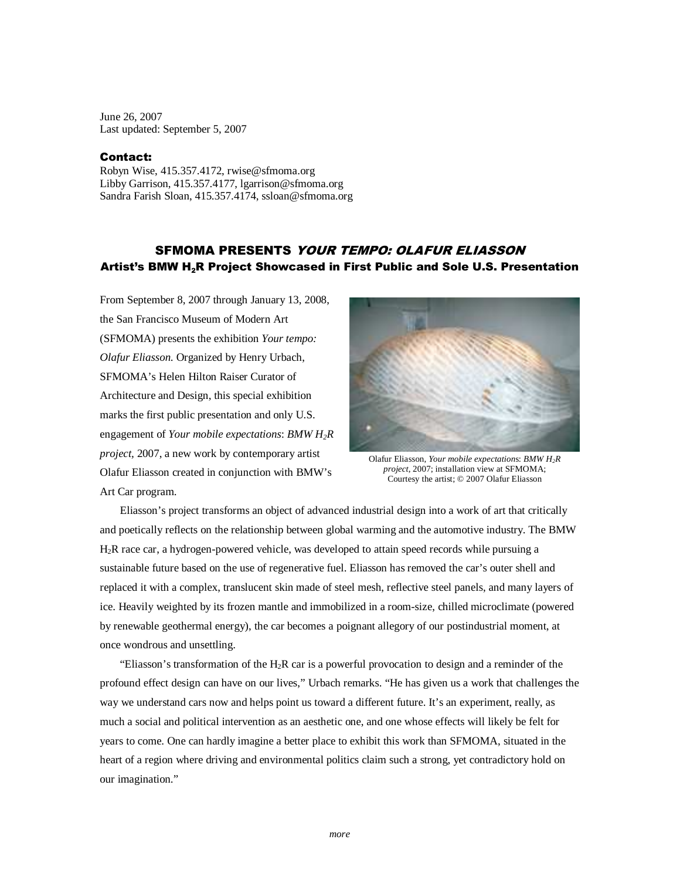June 26, 2007 Last updated: September 5, 2007

## Contact:

Robyn Wise, 415.357.4172, rwise@sfmoma.org Libby Garrison, 415.357.4177, lgarrison@sfmoma.org Sandra Farish Sloan, 415.357.4174, ssloan@sfmoma.org

# SFMOMA PRESENTS YOUR TEMPO: OLAFUR ELIASSON Artist's BMW H<sub>2</sub>R Project Showcased in First Public and Sole U.S. Presentation

From September 8, 2007 through January 13, 2008, the San Francisco Museum of Modern Art (SFMOMA) presents the exhibition *Your tempo: Olafur Eliasson*. Organized by Henry Urbach, SFMOMA's Helen Hilton Raiser Curator of Architecture and Design, this special exhibition marks the first public presentation and only U.S. engagement of *Your mobile expectations*: *BMW H2R project,* 2007, a new work by contemporary artist Olafur Eliasson created in conjunction with BMW's Art Car program.



Olafur Eliasson, *Your mobile expectation*s: *BMW H2R project*, 2007; installation view at SFMOMA; Courtesy the artist; © 2007 Olafur Eliasson

Eliasson's project transforms an object of advanced industrial design into a work of art that critically and poetically reflects on the relationship between global warming and the automotive industry. The BMW H2R race car, a hydrogen-powered vehicle, was developed to attain speed records while pursuing a sustainable future based on the use of regenerative fuel. Eliasson has removed the car's outer shell and replaced it with a complex, translucent skin made of steel mesh, reflective steel panels, and many layers of ice. Heavily weighted by its frozen mantle and immobilized in a room-size, chilled microclimate (powered by renewable geothermal energy), the car becomes a poignant allegory of our postindustrial moment, at once wondrous and unsettling.

"Eliasson's transformation of the  $H_2R$  car is a powerful provocation to design and a reminder of the profound effect design can have on our lives," Urbach remarks. "He has given us a work that challenges the way we understand cars now and helps point us toward a different future. It's an experiment, really, as much a social and political intervention as an aesthetic one, and one whose effects will likely be felt for years to come. One can hardly imagine a better place to exhibit this work than SFMOMA, situated in the heart of a region where driving and environmental politics claim such a strong, yet contradictory hold on our imagination."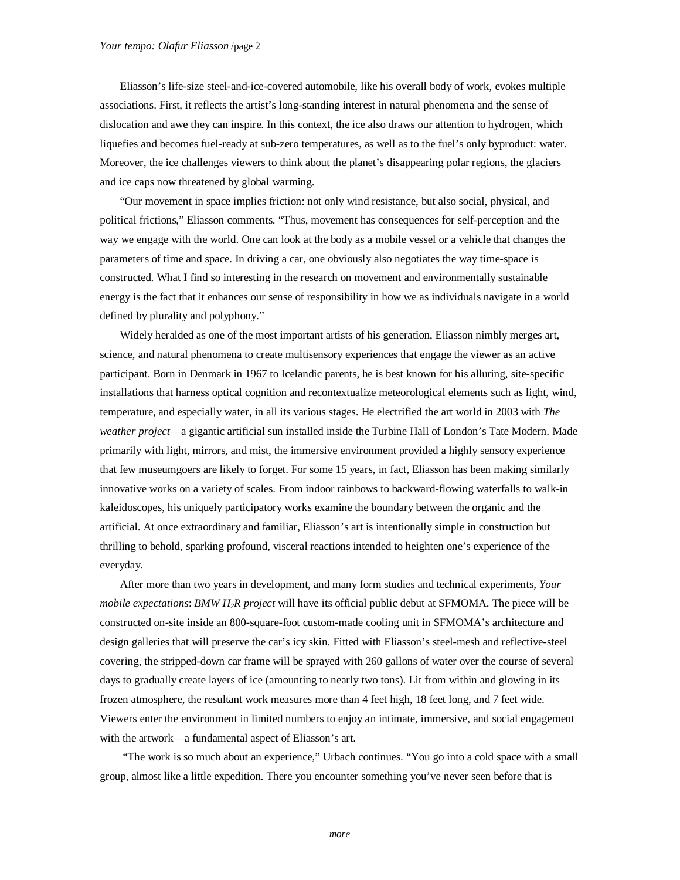Eliasson's life-size steel-and-ice-covered automobile, like his overall body of work, evokes multiple associations. First, it reflects the artist's long-standing interest in natural phenomena and the sense of dislocation and awe they can inspire. In this context, the ice also draws our attention to hydrogen, which liquefies and becomes fuel-ready at sub-zero temperatures, as well as to the fuel's only byproduct: water. Moreover, the ice challenges viewers to think about the planet's disappearing polar regions, the glaciers and ice caps now threatened by global warming.

"Our movement in space implies friction: not only wind resistance, but also social, physical, and political frictions," Eliasson comments. "Thus, movement has consequences for self-perception and the way we engage with the world. One can look at the body as a mobile vessel or a vehicle that changes the parameters of time and space. In driving a car, one obviously also negotiates the way time-space is constructed. What I find so interesting in the research on movement and environmentally sustainable energy is the fact that it enhances our sense of responsibility in how we as individuals navigate in a world defined by plurality and polyphony."

Widely heralded as one of the most important artists of his generation, Eliasson nimbly merges art, science, and natural phenomena to create multisensory experiences that engage the viewer as an active participant. Born in Denmark in 1967 to Icelandic parents, he is best known for his alluring, site-specific installations that harness optical cognition and recontextualize meteorological elements such as light, wind, temperature, and especially water, in all its various stages. He electrified the art world in 2003 with *The weather project*—a gigantic artificial sun installed inside the Turbine Hall of London's Tate Modern. Made primarily with light, mirrors, and mist, the immersive environment provided a highly sensory experience that few museumgoers are likely to forget. For some 15 years, in fact, Eliasson has been making similarly innovative works on a variety of scales. From indoor rainbows to backward-flowing waterfalls to walk-in kaleidoscopes, his uniquely participatory works examine the boundary between the organic and the artificial. At once extraordinary and familiar, Eliasson's art is intentionally simple in construction but thrilling to behold, sparking profound, visceral reactions intended to heighten one's experience of the everyday.

After more than two years in development, and many form studies and technical experiments, *Your mobile expectations*: *BMW H2R project* will have its official public debut at SFMOMA. The piece will be constructed on-site inside an 800-square-foot custom-made cooling unit in SFMOMA's architecture and design galleries that will preserve the car's icy skin. Fitted with Eliasson's steel-mesh and reflective-steel covering, the stripped-down car frame will be sprayed with 260 gallons of water over the course of several days to gradually create layers of ice (amounting to nearly two tons). Lit from within and glowing in its frozen atmosphere, the resultant work measures more than 4 feet high, 18 feet long, and 7 feet wide. Viewers enter the environment in limited numbers to enjoy an intimate, immersive, and social engagement with the artwork—a fundamental aspect of Eliasson's art.

 "The work is so much about an experience," Urbach continues. "You go into a cold space with a small group, almost like a little expedition. There you encounter something you've never seen before that is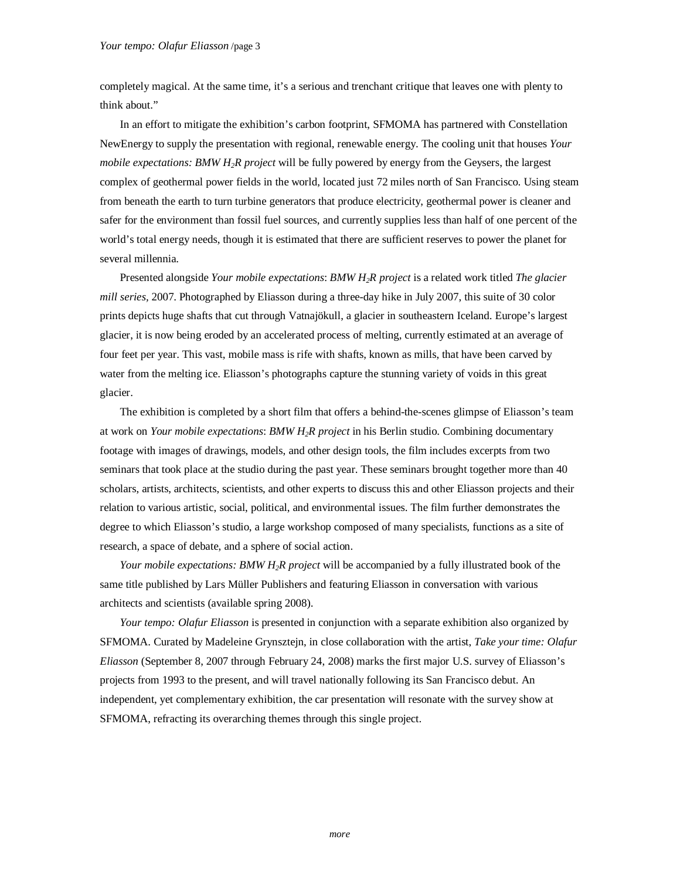completely magical. At the same time, it's a serious and trenchant critique that leaves one with plenty to think about."

In an effort to mitigate the exhibition's carbon footprint, SFMOMA has partnered with Constellation NewEnergy to supply the presentation with regional, renewable energy. The cooling unit that houses *Your mobile expectations: BMW H2R project* will be fully powered by energy from the Geysers, the largest complex of geothermal power fields in the world, located just 72 miles north of San Francisco. Using steam from beneath the earth to turn turbine generators that produce electricity, geothermal power is cleaner and safer for the environment than fossil fuel sources, and currently supplies less than half of one percent of the world's total energy needs, though it is estimated that there are sufficient reserves to power the planet for several millennia.

Presented alongside *Your mobile expectations*: *BMW H2R project* is a related work titled *The glacier mill series,* 2007. Photographed by Eliasson during a three-day hike in July 2007, this suite of 30 color prints depicts huge shafts that cut through Vatnajökull, a glacier in southeastern Iceland. Europe's largest glacier, it is now being eroded by an accelerated process of melting, currently estimated at an average of four feet per year. This vast, mobile mass is rife with shafts, known as mills, that have been carved by water from the melting ice. Eliasson's photographs capture the stunning variety of voids in this great glacier.

The exhibition is completed by a short film that offers a behind-the-scenes glimpse of Eliasson's team at work on *Your mobile expectations*: *BMW H2R project* in his Berlin studio. Combining documentary footage with images of drawings, models, and other design tools, the film includes excerpts from two seminars that took place at the studio during the past year. These seminars brought together more than 40 scholars, artists, architects, scientists, and other experts to discuss this and other Eliasson projects and their relation to various artistic, social, political, and environmental issues. The film further demonstrates the degree to which Eliasson's studio, a large workshop composed of many specialists, functions as a site of research, a space of debate, and a sphere of social action.

*Your mobile expectations: BMW H2R project* will be accompanied by a fully illustrated book of the same title published by Lars Müller Publishers and featuring Eliasson in conversation with various architects and scientists (available spring 2008).

*Your tempo: Olafur Eliasson* is presented in conjunction with a separate exhibition also organized by SFMOMA. Curated by Madeleine Grynsztejn, in close collaboration with the artist, *Take your time: Olafur Eliasson* (September 8, 2007 through February 24, 2008) marks the first major U.S. survey of Eliasson's projects from 1993 to the present, and will travel nationally following its San Francisco debut. An independent, yet complementary exhibition, the car presentation will resonate with the survey show at SFMOMA, refracting its overarching themes through this single project.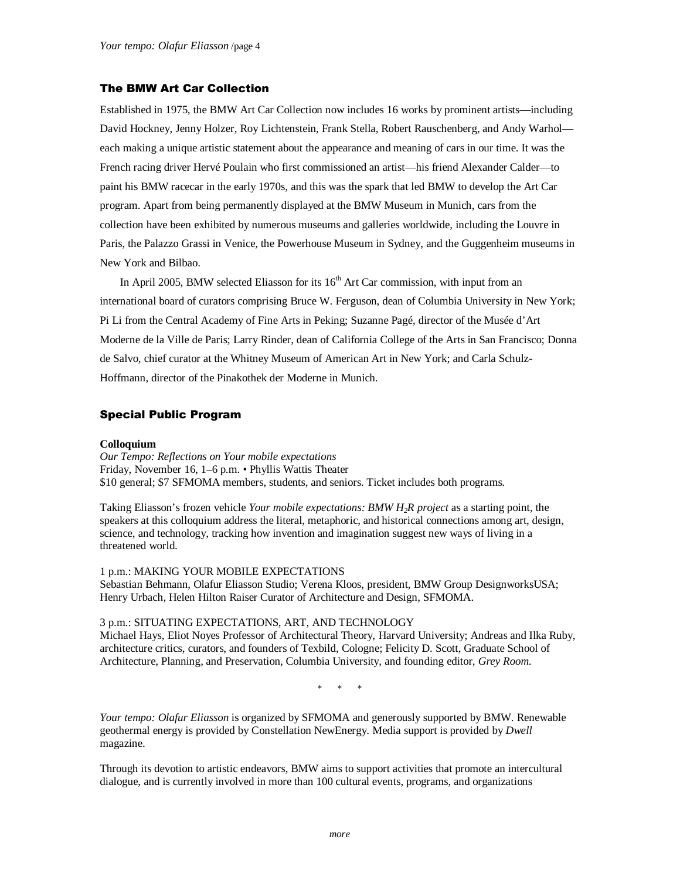## The BMW Art Car Collection

Established in 1975, the BMW Art Car Collection now includes 16 works by prominent artists—including David Hockney, Jenny Holzer, Roy Lichtenstein, Frank Stella, Robert Rauschenberg, and Andy Warhol each making a unique artistic statement about the appearance and meaning of cars in our time. It was the French racing driver Hervé Poulain who first commissioned an artist—his friend Alexander Calder—to paint his BMW racecar in the early 1970s, and this was the spark that led BMW to develop the Art Car program. Apart from being permanently displayed at the BMW Museum in Munich, cars from the collection have been exhibited by numerous museums and galleries worldwide, including the Louvre in Paris, the Palazzo Grassi in Venice, the Powerhouse Museum in Sydney, and the Guggenheim museums in New York and Bilbao.

In April 2005, BMW selected Eliasson for its  $16<sup>th</sup>$  Art Car commission, with input from an international board of curators comprising Bruce W. Ferguson, dean of Columbia University in New York; Pi Li from the Central Academy of Fine Arts in Peking; Suzanne Pagé, director of the Musée d'Art Moderne de la Ville de Paris; Larry Rinder, dean of California College of the Arts in San Francisco; Donna de Salvo, chief curator at the Whitney Museum of American Art in New York; and Carla Schulz-Hoffmann, director of the Pinakothek der Moderne in Munich.

## Special Public Program

#### **Colloquium**

*Our Tempo: Reflections on Your mobile expectations*  Friday, November 16, 1–6 p.m. • Phyllis Wattis Theater \$10 general; \$7 SFMOMA members, students, and seniors. Ticket includes both programs.

Taking Eliasson's frozen vehicle *Your mobile expectations: BMW H2R project* as a starting point, the speakers at this colloquium address the literal, metaphoric, and historical connections among art, design, science, and technology, tracking how invention and imagination suggest new ways of living in a threatened world.

1 p.m.: MAKING YOUR MOBILE EXPECTATIONS Sebastian Behmann, Olafur Eliasson Studio; Verena Kloos, president, BMW Group DesignworksUSA; Henry Urbach, Helen Hilton Raiser Curator of Architecture and Design, SFMOMA.

### 3 p.m.: SITUATING EXPECTATIONS, ART, AND TECHNOLOGY

Michael Hays, Eliot Noyes Professor of Architectural Theory, Harvard University; Andreas and Ilka Ruby, architecture critics, curators, and founders of Texbild, Cologne; Felicity D. Scott, Graduate School of Architecture, Planning, and Preservation, Columbia University, and founding editor, *Grey Room.*

\* \* \*

*Your tempo: Olafur Eliasson* is organized by SFMOMA and generously supported by BMW. Renewable geothermal energy is provided by Constellation NewEnergy. Media support is provided by *Dwell* magazine.

Through its devotion to artistic endeavors, BMW aims to support activities that promote an intercultural dialogue, and is currently involved in more than 100 cultural events, programs, and organizations